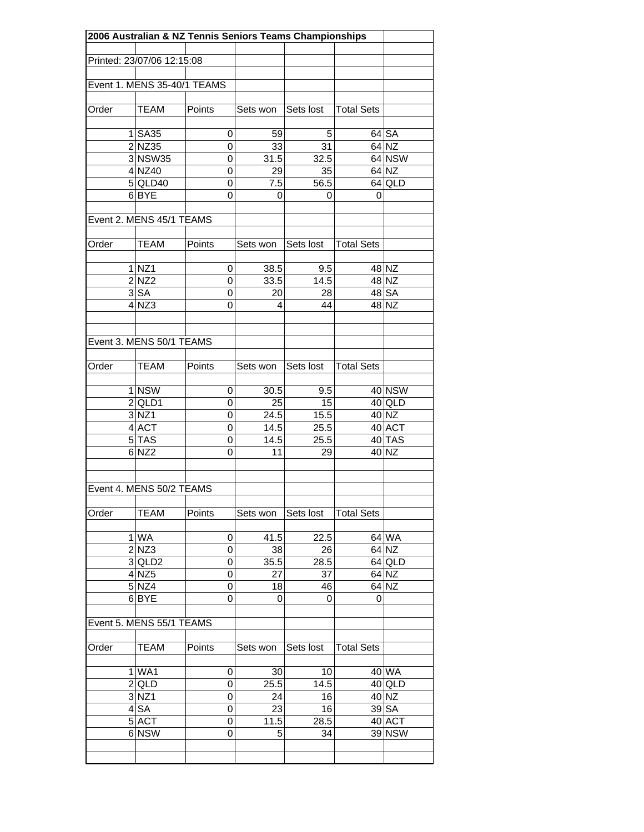| 2006 Australian & NZ Tennis Seniors Teams Championships |                                  |                |          |           |                   |          |
|---------------------------------------------------------|----------------------------------|----------------|----------|-----------|-------------------|----------|
|                                                         | Printed: 23/07/06 12:15:08       |                |          |           |                   |          |
|                                                         |                                  |                |          |           |                   |          |
|                                                         | Event 1. MENS 35-40/1 TEAMS      |                |          |           |                   |          |
|                                                         |                                  |                |          |           |                   |          |
| Order                                                   | TEAM                             | Points         | Sets won | Sets lost | <b>Total Sets</b> |          |
|                                                         | $1$ SA35                         | 0              | 59       | 5         |                   | 64 SA    |
|                                                         | $2$ NZ35                         | $\overline{0}$ | 33       | 31        |                   | 64 NZ    |
|                                                         | 3 NSW35                          | 0              | 31.5     | 32.5      |                   | 64 NSW   |
|                                                         | 4 NZ40                           | 0              | 29       | 35        |                   | 64 NZ    |
|                                                         | $5$ QLD40                        | 0              | 7.5      | 56.5      |                   | 64 QLD   |
|                                                         | 6BYE                             | 0              | 0        | 0         | 0                 |          |
|                                                         | Event 2. MENS 45/1 TEAMS         |                |          |           |                   |          |
| Order                                                   | <b>TEAM</b>                      | Points         | Sets won | Sets lost | <b>Total Sets</b> |          |
|                                                         |                                  |                |          |           |                   |          |
|                                                         | $1$ NZ1                          | 0              | 38.5     | 9.5       |                   | 48 NZ    |
|                                                         | $2$ NZ2                          | 0              | 33.5     | 14.5      |                   | 48 NZ    |
|                                                         | 3 SA                             | 0              | 20       | 28        |                   | 48 SA    |
|                                                         | 4 NZ3                            | 0              | 4        | 44        |                   | 48 NZ    |
|                                                         |                                  |                |          |           |                   |          |
|                                                         | Event 3. MENS 50/1 TEAMS         |                |          |           |                   |          |
|                                                         |                                  |                |          |           |                   |          |
| Order                                                   | <b>TEAM</b>                      | Points         | Sets won | Sets lost | <b>Total Sets</b> |          |
|                                                         | 1 NSW                            | 0              | 30.5     | 9.5       |                   | 40 NSW   |
|                                                         | $2$ QLD1                         | 0              | 25       | 15        |                   | 40 QLD   |
|                                                         | 3 NZ1                            | 0              | 24.5     | 15.5      |                   | 40 NZ    |
|                                                         | 4 ACT                            | 0              | 14.5     | 25.5      |                   | 40 ACT   |
|                                                         | $5$ $\overline{\phantom{a}}$ TAS | 0              | 14.5     | 25.5      |                   | 40 TAS   |
|                                                         | $6 $ NZ2                         | 0              | 11       | 29        |                   | 40 NZ    |
|                                                         |                                  |                |          |           |                   |          |
|                                                         | Event 4. MENS 50/2 TEAMS         |                |          |           |                   |          |
| Order                                                   | <b>TEAM</b>                      | Points         | Sets won | Sets lost | <b>Total Sets</b> |          |
|                                                         |                                  |                |          |           |                   |          |
|                                                         | 1 WA                             | 0              | 41.5     | 22.5      |                   | 64 WA    |
|                                                         | 2 NZ3                            | $\overline{0}$ | 38       | 26        |                   | 64 NZ    |
|                                                         | $3$ QLD2                         | 0              | 35.5     | 28.5      |                   | $64$ QLD |
|                                                         | $4$ NZ5                          | 0              | 27       | 37        |                   | 64 NZ    |
|                                                         | $5$ NZ4                          | 0              | 18       | 46        |                   | 64 NZ    |
|                                                         | 6 <sub>BYE</sub>                 | 0              | 0        | 0         | $\mathbf 0$       |          |
|                                                         | Event 5. MENS 55/1 TEAMS         |                |          |           |                   |          |
| Order                                                   | TEAM                             | Points         | Sets won | Sets lost | <b>Total Sets</b> |          |
|                                                         | $1$ WA1                          | 0              | 30       | 10        |                   | 40 WA    |
|                                                         | $2$ QLD                          | 0              | 25.5     | 14.5      |                   | 40 QLD   |
|                                                         | $3$ NZ1                          | 0              | 24       | 16        |                   | 40 NZ    |
|                                                         | $4$ $SA$                         | 0              | 23       | 16        |                   | 39 SA    |
|                                                         | 5 ACT                            | 0              | 11.5     | 28.5      |                   | 40 ACT   |
|                                                         | 6 NSW                            | 0              | 5        | 34        |                   | 39 NSW   |
|                                                         |                                  |                |          |           |                   |          |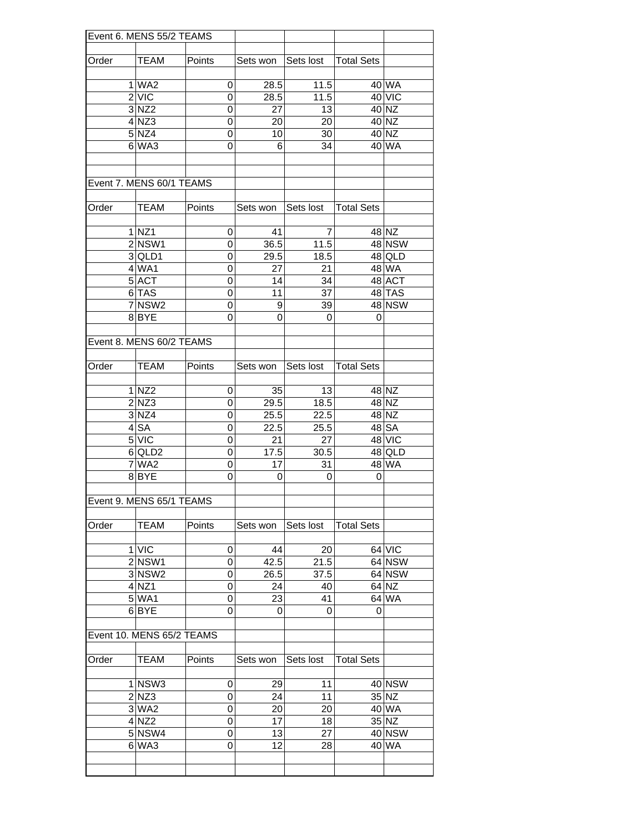| Event 6. MENS 55/2 TEAMS |                           |                |                    |           |                   |                    |
|--------------------------|---------------------------|----------------|--------------------|-----------|-------------------|--------------------|
|                          |                           |                |                    |           |                   |                    |
| Order                    | TEAM                      | Points         | Sets won Sets lost |           | Total Sets        |                    |
|                          |                           |                |                    |           |                   |                    |
|                          | 1 WA2                     | 0              | 28.5               | 11.5      |                   | 40 WA              |
|                          | 2 V C                     | $\Omega$       | 28.5               | 11.5      |                   | 40 VIC             |
|                          | $3 $ NZ2                  | $\mathbf 0$    | 27                 | 13        |                   | 40 NZ              |
|                          | $4$ NZ3                   | $\mathbf 0$    | 20                 | 20        |                   | $40$ NZ            |
|                          | 5 NZ4                     | $\overline{0}$ | 10                 | 30        |                   | 40 NZ              |
|                          | $6$ WA3                   | 0              | 6                  | 34        |                   | 40 WA              |
|                          |                           |                |                    |           |                   |                    |
|                          |                           |                |                    |           |                   |                    |
|                          | Event 7. MENS 60/1 TEAMS  |                |                    |           |                   |                    |
|                          |                           |                |                    |           |                   |                    |
| Order                    | <b>TEAM</b>               | Points         | Sets won           | Sets lost | <b>Total Sets</b> |                    |
|                          |                           |                |                    |           |                   |                    |
|                          | 1 NZ1                     | 0              | 41                 | 7         |                   | 48 NZ              |
|                          | 2 NSW1                    | 0              | 36.5               | 11.5      |                   | <b>48 NSW</b>      |
|                          | 3 QLD1                    | 0              | 29.5               | 18.5      |                   | $48$ QLD           |
|                          | $4$ WA1                   | 0              | 27                 | 21        |                   | 48 WA              |
|                          | 5 ACT                     | 0              | 14                 | 34        |                   | 48 ACT             |
|                          | 6 TAS                     | $\mathbf 0$    | 11                 | 37        |                   | 48 TAS             |
|                          | 7 NSW <sub>2</sub>        | 0              | 9                  | 39        |                   | <b>48 NSW</b>      |
|                          | 8 BYE                     | 0              | 0                  | 0         | $\mathbf 0$       |                    |
|                          |                           |                |                    |           |                   |                    |
|                          | Event 8. MENS 60/2 TEAMS  |                |                    |           |                   |                    |
|                          |                           |                |                    |           |                   |                    |
| Order                    | <b>TEAM</b>               | Points         | Sets won           | Sets lost | <b>Total Sets</b> |                    |
|                          |                           |                |                    |           |                   |                    |
|                          | 1 NZ2                     | 0              | 35                 | 13        |                   | 48 NZ              |
|                          | 2 NZ3                     | 0              | 29.5               | 18.5      |                   | 48 NZ              |
|                          | 3 NZ4                     | $\overline{0}$ | 25.5               | 22.5      |                   | 48 NZ              |
|                          | 4 <sup>SA</sup>           | 0              | 22.5               | 25.5      |                   | $\overline{48}$ SA |
|                          | 5 VIC                     | 0              | 21                 | 27        |                   | 48 VIC             |
|                          | 6 QLD2                    | 0              | 17.5               | 30.5      |                   | $48$ QLD           |
|                          | 7 WA2                     | 0              | 17                 | 31        |                   | 48 WA              |
|                          | 8BYE                      | 0              | 0                  | 0         | 0                 |                    |
|                          |                           |                |                    |           |                   |                    |
|                          | Event 9. MENS 65/1 TEAMS  |                |                    |           |                   |                    |
|                          |                           |                |                    |           |                   |                    |
| Order                    | TEAM                      | Points         | Sets won           | Sets lost | <b>Total Sets</b> |                    |
|                          |                           |                |                    |           |                   |                    |
|                          | $1$ VIC                   | 0              | 44                 | 20        |                   | 64 VIC             |
|                          | $2$ NSW1                  | 0              | 42.5               | 21.5      |                   | 64 NSW             |
|                          | 3 NSW <sub>2</sub>        | $\overline{0}$ | 26.5               | 37.5      |                   | 64 NSW             |
|                          | $4$ NZ1                   | 0              | 24                 | 40        |                   | 64 NZ              |
|                          | 5 WA1                     | 0              | 23                 | 41        |                   | 64 WA              |
|                          | 6 <sub>BYE</sub>          | 0              | 0                  | 0         | 0                 |                    |
|                          |                           |                |                    |           |                   |                    |
|                          | Event 10. MENS 65/2 TEAMS |                |                    |           |                   |                    |
|                          |                           |                |                    |           |                   |                    |
| Order                    | <b>TEAM</b>               | Points         | Sets won           | Sets lost | <b>Total Sets</b> |                    |
|                          |                           |                |                    |           |                   |                    |
|                          | $1$ NSW3                  | 0              | 29                 | 11        |                   | 40 NSW             |
|                          | 2 NZ3                     | $\mathbf 0$    | 24                 | 11        |                   | 35 NZ              |
|                          | $3$ WA2                   | $\mathbf 0$    | 20                 | 20        |                   | 40 WA              |
|                          | $4$ NZ2                   | $\mathbf 0$    | 17                 | 18        |                   | 35 NZ              |
|                          | 5 NSW4                    | $\overline{0}$ | 13                 | 27        |                   | 40 NSW             |
|                          | $6$ WA3                   | 0              | 12                 | 28        |                   | 40 WA              |
|                          |                           |                |                    |           |                   |                    |
|                          |                           |                |                    |           |                   |                    |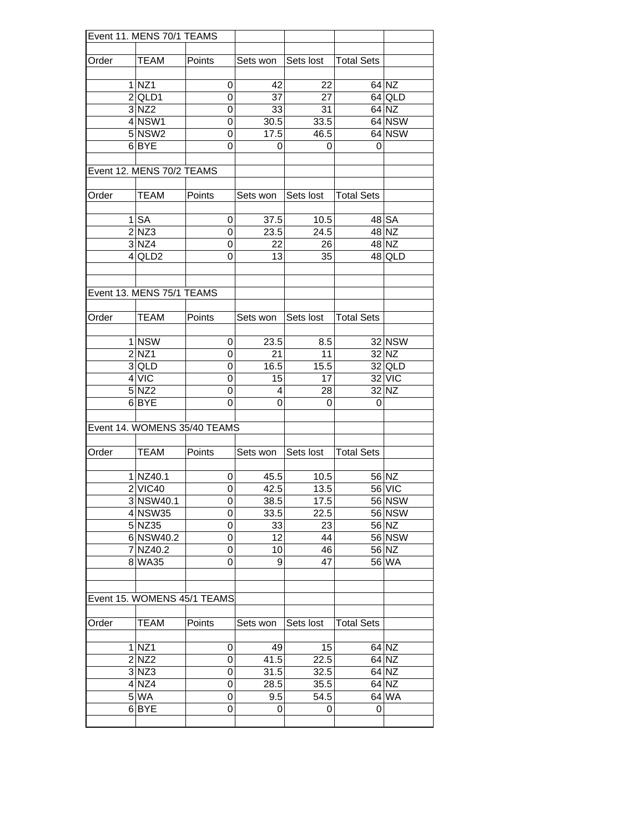| Event 11. MENS 70/1 TEAMS |                             |                              |                    |                                 |                   |                |
|---------------------------|-----------------------------|------------------------------|--------------------|---------------------------------|-------------------|----------------|
|                           |                             |                              |                    |                                 |                   |                |
| Order                     | <b>TEAM</b>                 | Points                       |                    | Sets won Sets lost   Total Sets |                   |                |
|                           |                             |                              |                    |                                 |                   |                |
|                           | 1 NZ1                       | $\overline{0}$               | 42                 | 22                              |                   | 64 NZ          |
|                           | $2$ QLD1                    | 0                            | 37                 | 27                              |                   | 64 QLD         |
|                           | $3 $ NZ2                    | 0                            | 33                 | 31                              |                   | 64 NZ          |
|                           | $4$ NSW1                    | 0                            | 30.5               | 33.5                            |                   | 64 NSW         |
|                           | 5 NSW2                      | 0                            | 17.5               | 46.5                            |                   | 64 NSW         |
|                           | 6BYE                        | 0                            | 0                  | 0                               | 0                 |                |
|                           | Event 12. MENS 70/2 TEAMS   |                              |                    |                                 |                   |                |
|                           |                             |                              |                    |                                 |                   |                |
| Order                     | <b>TEAM</b>                 | Points                       | Sets won I         | Sets lost                       | <b>Total Sets</b> |                |
|                           |                             |                              |                    |                                 |                   |                |
|                           | $1$ $SA$                    | 0                            | 37.5               | 10.5                            |                   | 48 SA          |
|                           | 2 NZ3                       | 0<br>0                       | 23.5               | 24.5<br>26                      |                   | 48 NZ<br>48 NZ |
|                           | 3 NZ4                       |                              | 22                 |                                 |                   |                |
|                           | $4$ QLD2                    | 0                            | 13                 | 35                              |                   | 48 QLD         |
|                           |                             |                              |                    |                                 |                   |                |
|                           | Event 13. MENS 75/1 TEAMS   |                              |                    |                                 |                   |                |
|                           |                             |                              |                    |                                 |                   |                |
| Order                     | <b>TEAM</b>                 | Points                       | Sets won Sets lost |                                 | <b>Total Sets</b> |                |
|                           | 1 NSW                       | 0                            | 23.5               | 8.5                             |                   | 32 NSW         |
|                           | 2 NZ1                       | 0                            | 21                 | 11                              |                   | 32 NZ          |
|                           | 3 QLD                       | 0                            | 16.5               | 15.5                            |                   | 32 QLD         |
|                           | 4 VIC                       | $\overline{0}$               | 15                 | 17                              |                   | 32 VIC         |
|                           | 5 NZ2                       | 0                            | 4                  | 28                              |                   | 32 NZ          |
|                           | 6BYE                        | 0                            | 0                  | 0                               | 0                 |                |
|                           |                             |                              |                    |                                 |                   |                |
|                           |                             | Event 14. WOMENS 35/40 TEAMS |                    |                                 |                   |                |
|                           |                             |                              |                    |                                 |                   |                |
| Order                     | <b>TEAM</b>                 | Points                       | Sets won           | Sets lost                       | <b>Total Sets</b> |                |
|                           |                             |                              |                    |                                 |                   |                |
|                           | 1 NZ40.1                    | 0                            | 45.5               | 10.5                            |                   | 56 NZ          |
|                           | 2 VIC40                     | 0                            | 42.5               | 13.5                            |                   | 56 VIC         |
|                           | 3 NSW40.1                   | $\overline{0}$               | 38.5               | 17.5                            |                   | <b>56 NSW</b>  |
|                           | 4 NSW35                     | 0                            | 33.5               | 22.5                            |                   | 56 NSW         |
|                           | 5 NZ35                      | 0                            | 33                 | 23                              |                   | 56 NZ          |
|                           | 6 NSW40.2                   | 0                            | 12                 | 44                              |                   | 56 NSW         |
|                           | 7 NZ40.2                    | 0                            | 10                 | 46                              |                   | 56 NZ          |
|                           | 8 WA35                      | 0                            | 9                  | 47                              |                   | 56 WA          |
|                           |                             |                              |                    |                                 |                   |                |
|                           | Event 15. WOMENS 45/1 TEAMS |                              |                    |                                 |                   |                |
|                           |                             |                              |                    |                                 |                   |                |
| Order                     | TEAM                        | Points                       | Sets won           | Sets lost                       | <b>Total Sets</b> |                |
|                           | $1$ NZ1                     | 0                            | 49                 | 15                              |                   | 64 NZ          |
|                           | 2 NZ2                       | 0                            | 41.5               | 22.5                            |                   | 64 NZ          |
|                           | $3$ NZ3                     | 0                            | 31.5               | 32.5                            |                   | 64 NZ          |
|                           | $4$ NZ4                     | 0                            | 28.5               | 35.5                            |                   | $64$ NZ        |
|                           | $5$ WA                      | 0                            | 9.5                | 54.5                            |                   | 64 WA          |
|                           | 6BYE                        | 0                            | 0                  | 0                               | 0                 |                |
|                           |                             |                              |                    |                                 |                   |                |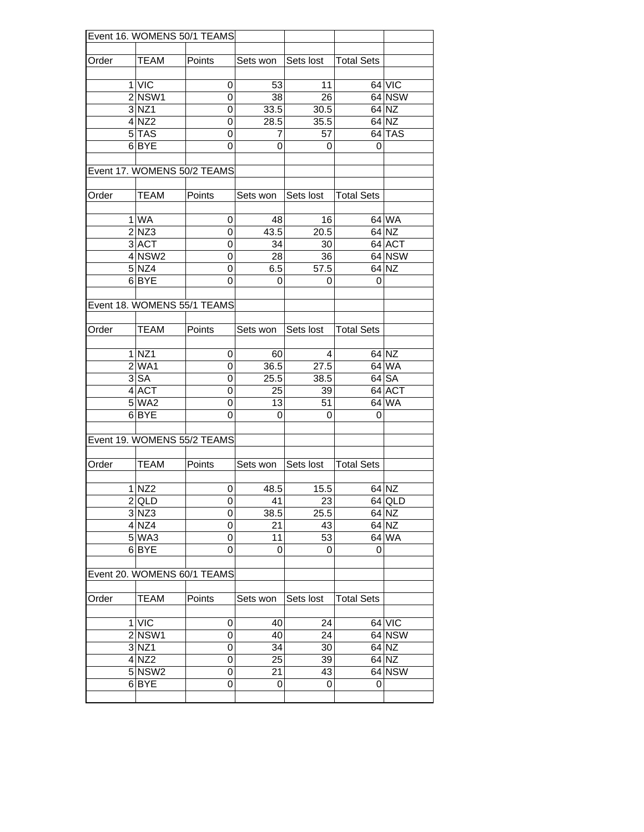| Event 16. WOMENS 50/1 TEAMS |                    |                             |                    |           |                   |         |
|-----------------------------|--------------------|-----------------------------|--------------------|-----------|-------------------|---------|
|                             |                    |                             |                    |           |                   |         |
| Order                       | <b>TEAM</b>        | Points                      | Sets won Sets lost |           | <b>Total Sets</b> |         |
|                             |                    |                             |                    |           |                   |         |
|                             | 1 VIC              | 0                           | 53                 | 11        |                   | 64 VIC  |
|                             | $2$ NSW1           | $\mathbf 0$                 | 38                 | 26        |                   | 64 NSW  |
|                             | $3$ NZ1            | 0                           | 33.5               | 30.5      |                   | 64 NZ   |
|                             | 4 NZ2              | $\mathbf 0$                 | 28.5               | 35.5      |                   | 64 NZ   |
|                             | $5$ TAS            | 0                           | 7                  | 57        |                   | 64 TAS  |
|                             | 6 BYE              | 0                           | 0                  | 0         | 0                 |         |
|                             |                    | Event 17. WOMENS 50/2 TEAMS |                    |           |                   |         |
| Order                       | <b>TEAM</b>        | Points                      | Sets won Sets lost |           | <b>Total Sets</b> |         |
|                             |                    |                             |                    |           |                   |         |
|                             | 1 WA               | 0                           | 48                 | 16        |                   | $64$ WA |
|                             | 2 NZ3              | 0                           | 43.5               | 20.5      |                   | 64 NZ   |
|                             | 3 ACT              |                             |                    |           |                   | 64 ACT  |
|                             |                    | 0                           | 34                 | 30        |                   |         |
|                             | 4 NSW2             | 0                           | 28                 | 36        |                   | 64 NSW  |
|                             | 5 NZ4              | 0                           | 6.5                | 57.5      |                   | 64 NZ   |
|                             | 6 <sub>BYE</sub>   | 0                           | 0                  | 0         | 0                 |         |
|                             |                    | Event 18. WOMENS 55/1 TEAMS |                    |           |                   |         |
|                             |                    |                             |                    |           |                   |         |
| Order                       | <b>TEAM</b>        | Points                      | Sets won           | Sets lost | <b>Total Sets</b> |         |
|                             |                    |                             |                    |           |                   |         |
|                             | $1$ NZ1            | 0                           | 60                 | 4         |                   | 64 NZ   |
|                             | $2$ WA1            | 0                           | 36.5               | 27.5      |                   | 64 WA   |
|                             |                    |                             |                    |           |                   |         |
|                             | 3 <sub>SA</sub>    | 0                           | 25.5               | 38.5      |                   | 64 SA   |
|                             | 4 ACT              | 0                           | 25                 | 39        |                   | 64 ACT  |
|                             | $5$ WA2            | 0                           | 13                 | 51        |                   | 64 WA   |
|                             | 6BYE               | 0                           | 0                  | 0         | 0                 |         |
|                             |                    |                             |                    |           |                   |         |
|                             |                    | Event 19. WOMENS 55/2 TEAMS |                    |           |                   |         |
|                             |                    |                             |                    |           |                   |         |
| Order                       | TEAM               | Points                      | Sets won           | Sets lost | <b>Total Sets</b> |         |
|                             |                    |                             |                    |           |                   |         |
|                             | $1$ NZ2            | 0                           | 48.5               | 15.5      |                   | 64 NZ   |
|                             | $2$ QLD            | 0                           | 41                 | 23        |                   | 64 QLD  |
|                             | $\overline{3}$ NZ3 | $\mathbf 0$                 | 38.5               | 25.5      |                   | 64 NZ   |
|                             | $4$ NZ4            | $\mathbf 0$                 | 21                 | 43        |                   | 64 NZ   |
|                             | $5$ WA3            | 0                           | 11                 | 53        |                   | 64 WA   |
|                             | 6BYE               | 0                           | 0                  | 0         | 0                 |         |
|                             |                    |                             |                    |           |                   |         |
| Event 20. WOMENS 60/1 TEAMS |                    |                             |                    |           |                   |         |
|                             |                    |                             |                    |           |                   |         |
| Order                       | <b>TEAM</b>        | Points                      | Sets won           | Sets lost | <b>Total Sets</b> |         |
|                             |                    |                             |                    |           |                   |         |
|                             |                    |                             |                    |           |                   |         |
|                             | $1$ VIC            | 0                           | 40                 | 24        |                   | 64 VIC  |
|                             | $2$ NSW1           | 0                           | 40                 | 24        |                   | 64 NSW  |
|                             | 3 NZ1              | 0                           | 34                 | 30        |                   | 64 NZ   |
|                             | $4$ NZ2            | 0                           | 25                 | 39        |                   | 64 NZ   |
|                             | 5 NSW2             | 0                           | 21                 | 43        |                   | 64 NSW  |
|                             | 6BYE               | 0                           | 0                  | 0         | 0                 |         |
|                             |                    |                             |                    |           |                   |         |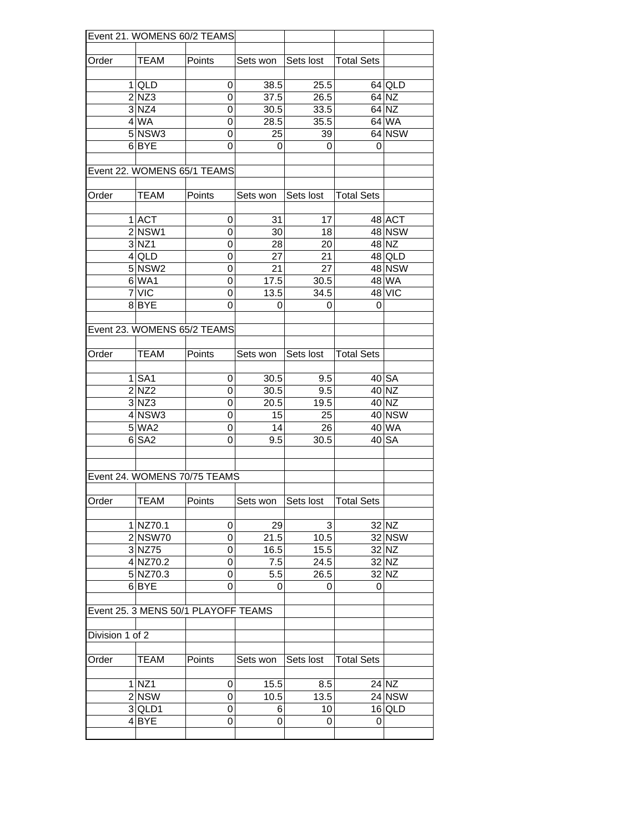|                 |                    | Event 21. WOMENS 60/2 TEAMS         |                    |           |                   |               |
|-----------------|--------------------|-------------------------------------|--------------------|-----------|-------------------|---------------|
|                 |                    |                                     |                    |           |                   |               |
| Order           | <b>TEAM</b>        | Points                              | Sets won Sets lost |           | <b>Total Sets</b> |               |
|                 |                    |                                     |                    |           |                   |               |
|                 | $1$ QLD            | 0                                   | 38.5               | 25.5      |                   | $64$ QLD      |
|                 | 2 NZ3              | 0                                   | 37.5               | 26.5      |                   | 64 NZ         |
|                 | 3 NZ4              | 0                                   | 30.5               | 33.5      |                   | 64 NZ         |
|                 | 4 WA               | $\overline{0}$                      | 28.5               | 35.5      |                   | 64 WA         |
|                 | $5$ NSW3           | 0                                   | 25                 | 39        |                   | 64 NSW        |
|                 | 6BYE               | 0                                   | 0                  | 0         | 0                 |               |
|                 |                    |                                     |                    |           |                   |               |
|                 |                    | Event 22. WOMENS 65/1 TEAMS         |                    |           |                   |               |
|                 |                    |                                     |                    |           |                   |               |
| Order           | <b>TEAM</b>        | Points                              | Sets won I         | Sets lost | <b>Total Sets</b> |               |
|                 |                    |                                     |                    |           |                   |               |
|                 | 1 ACT              | 0                                   | 31                 | 17        |                   | 48 ACT        |
|                 | $2$ NSW1           | 0                                   | 30                 | 18        |                   | 48 NSW        |
|                 | 3 NZ1              | 0                                   | 28                 | 20        |                   | 48 NZ         |
|                 | $4$ QLD            | 0                                   | 27                 | 21        |                   | 48 QLD        |
|                 | 5 NSW <sub>2</sub> | 0                                   | 21                 | 27        |                   | 48 NSW        |
|                 | 6 WA1              | $\mathbf 0$                         | 17.5               | 30.5      |                   | 48 WA         |
|                 | 7 VIC              | 0                                   | 13.5               | 34.5      |                   | 48 VIC        |
|                 | 8 BYE              | $\Omega$                            | 0                  | 0         | 0                 |               |
|                 |                    |                                     |                    |           |                   |               |
|                 |                    | Event 23. WOMENS 65/2 TEAMS         |                    |           |                   |               |
|                 |                    |                                     |                    |           |                   |               |
| Order           | <b>TEAM</b>        | Points                              | Sets won           | Sets lost | <b>Total Sets</b> |               |
|                 |                    |                                     |                    |           |                   |               |
|                 | $1$ $SA1$          | 0                                   | 30.5               | 9.5       |                   | 40 SA         |
|                 | $2$ NZ2            | 0                                   | 30.5               | 9.5       |                   | 40 NZ         |
|                 | $3 $ NZ3           | 0                                   | 20.5               | 19.5      |                   | 40 NZ         |
|                 | 4 NSW3             | 0                                   | 15                 | 25        |                   | <b>40 NSW</b> |
|                 | 5 WA2              | 0                                   | 14                 | 26        |                   | 40 WA         |
|                 | 6 SA2              | 0                                   | 9.5                | 30.5      |                   | 40 SA         |
|                 |                    |                                     |                    |           |                   |               |
|                 |                    |                                     |                    |           |                   |               |
|                 |                    | Event 24. WOMENS 70/75 TEAMS        |                    |           |                   |               |
|                 |                    |                                     |                    |           |                   |               |
| Order           | <b>TEAM</b>        | Points                              | Sets won           | Sets lost | <b>Total Sets</b> |               |
|                 |                    |                                     |                    |           |                   |               |
|                 | 1 NZ70.1           | 0                                   | 29                 | 3         |                   | 32 NZ         |
|                 | 2 NSW70            | $\overline{0}$                      | 21.5               | 10.5      |                   | 32 NSW        |
|                 | 3 NZ75             | 0                                   | 16.5               | 15.5      |                   | 32 NZ         |
|                 | 4 NZ70.2           | $\mathbf 0$                         | 7.5                | 24.5      |                   | 32 NZ         |
|                 | 5 NZ70.3           | 0                                   | 5.5                | 26.5      |                   | 32 NZ         |
|                 | 6BYE               | 0                                   | 0                  | 0         | $\mathbf 0$       |               |
|                 |                    |                                     |                    |           |                   |               |
|                 |                    | Event 25. 3 MENS 50/1 PLAYOFF TEAMS |                    |           |                   |               |
|                 |                    |                                     |                    |           |                   |               |
| Division 1 of 2 |                    |                                     |                    |           |                   |               |
|                 |                    |                                     |                    |           |                   |               |
| Order           | TEAM               | Points                              | Sets won           | Sets lost | <b>Total Sets</b> |               |
|                 |                    |                                     |                    |           |                   |               |
|                 | $1$ NZ1            | 0                                   | 15.5               | 8.5       |                   | 24 NZ         |
|                 | 2 NSW              | 0                                   | 10.5               | 13.5      |                   | 24 NSW        |
|                 | $3$ QLD1           | 0                                   | 6                  | 10        |                   | $16$ QLD      |
|                 | 4BYE               | 0                                   | 0                  | 0         | 0                 |               |
|                 |                    |                                     |                    |           |                   |               |
|                 |                    |                                     |                    |           |                   |               |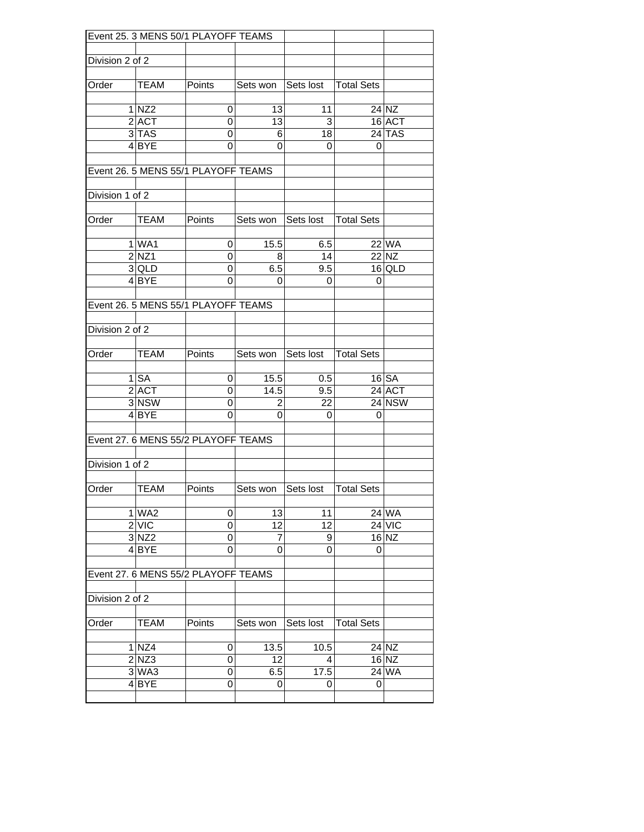|                 | Event 25. 3 MENS 50/1 PLAYOFF TEAMS |                                     |                    |            |                   |               |  |  |  |  |
|-----------------|-------------------------------------|-------------------------------------|--------------------|------------|-------------------|---------------|--|--|--|--|
|                 |                                     |                                     |                    |            |                   |               |  |  |  |  |
| Division 2 of 2 |                                     |                                     |                    |            |                   |               |  |  |  |  |
| Order           | <b>TEAM</b>                         | Points                              | Sets won Sets lost |            | <b>Total Sets</b> |               |  |  |  |  |
|                 | $1$ NZ2                             | 0                                   | 13                 | 11         |                   | 24 NZ         |  |  |  |  |
|                 | $2$ $ACT$                           | $\mathbf 0$                         | 13                 | 3          |                   | 16 ACT        |  |  |  |  |
|                 | $3$ TAS                             | 0                                   | 6                  | 18         |                   | $24$ TAS      |  |  |  |  |
|                 | 4 BYE                               | 0                                   | 0                  | 0          | 0                 |               |  |  |  |  |
|                 |                                     | Event 26. 5 MENS 55/1 PLAYOFF TEAMS |                    |            |                   |               |  |  |  |  |
| Division 1 of 2 |                                     |                                     |                    |            |                   |               |  |  |  |  |
|                 |                                     |                                     |                    |            |                   |               |  |  |  |  |
| Order           | <b>TEAM</b>                         | Points                              | Sets won           | Sets lost  | <b>Total Sets</b> |               |  |  |  |  |
|                 |                                     |                                     |                    |            |                   |               |  |  |  |  |
|                 | 1 WA1                               | 0                                   | 15.5               | 6.5        |                   | 22 WA         |  |  |  |  |
|                 | 2 NZ1                               | 0                                   | 8                  | 14         |                   | 22 NZ         |  |  |  |  |
|                 | 3 QLD                               | 0                                   | 6.5                | 9.5        |                   | 16 QLD        |  |  |  |  |
|                 | $4$ BYE                             | 0                                   | 0                  | 0          | 0                 |               |  |  |  |  |
|                 |                                     | Event 26. 5 MENS 55/1 PLAYOFF TEAMS |                    |            |                   |               |  |  |  |  |
|                 |                                     |                                     |                    |            |                   |               |  |  |  |  |
| Division 2 of 2 |                                     |                                     |                    |            |                   |               |  |  |  |  |
| Order           | <b>TEAM</b>                         | <b>Points</b>                       | Sets won           | Sets lost  | <b>Total Sets</b> |               |  |  |  |  |
|                 | $1$ SA                              |                                     |                    |            |                   | $16$ $SA$     |  |  |  |  |
|                 | $2$ $ACT$                           | 0<br>0                              | 15.5<br>14.5       | 0.5<br>9.5 |                   | 24 ACT        |  |  |  |  |
|                 | $3$ NSW                             | 0                                   | 2                  | 22         |                   | <b>24 NSW</b> |  |  |  |  |
|                 | 4 BYE                               | 0                                   | 0                  | 0          | 0                 |               |  |  |  |  |
|                 |                                     |                                     |                    |            |                   |               |  |  |  |  |
|                 |                                     | Event 27. 6 MENS 55/2 PLAYOFF TEAMS |                    |            |                   |               |  |  |  |  |
| Division 1 of 2 |                                     |                                     |                    |            |                   |               |  |  |  |  |
| Order           | <b>TEAM</b>                         | Points                              | Sets won           | Sets lost  | <b>Total Sets</b> |               |  |  |  |  |
|                 |                                     |                                     |                    |            |                   |               |  |  |  |  |
|                 | $1$ WA2                             | $\mathbf 0$                         | 13                 | 11         |                   | 24 WA         |  |  |  |  |
|                 | 2 VIC                               | $\mathbf 0$                         | $\overline{12}$    | 12         |                   | $24$ VIC      |  |  |  |  |
|                 | $3$ NZ2                             | $\mathbf 0$                         | 7                  | 9          |                   | $16$ NZ       |  |  |  |  |
|                 | 4BYE                                | $\mathbf 0$                         | 0                  | 0          | 0                 |               |  |  |  |  |
|                 |                                     | Event 27. 6 MENS 55/2 PLAYOFF TEAMS |                    |            |                   |               |  |  |  |  |
| Division 2 of 2 |                                     |                                     |                    |            |                   |               |  |  |  |  |
|                 |                                     |                                     |                    |            |                   |               |  |  |  |  |
| Order           | TEAM                                | Points                              | Sets won           | Sets lost  | <b>Total Sets</b> |               |  |  |  |  |
|                 | 1 NZ4                               | 0                                   | 13.5               | 10.5       |                   | 24 NZ         |  |  |  |  |
|                 | $2$ NZ3                             | 0                                   | 12                 | 4          |                   | $16$ NZ       |  |  |  |  |
|                 | $3$ WA3                             | 0                                   | 6.5                | 17.5       |                   | 24 WA         |  |  |  |  |
|                 | 4 BYE                               | 0                                   | 0                  | 0          | 0                 |               |  |  |  |  |
|                 |                                     |                                     |                    |            |                   |               |  |  |  |  |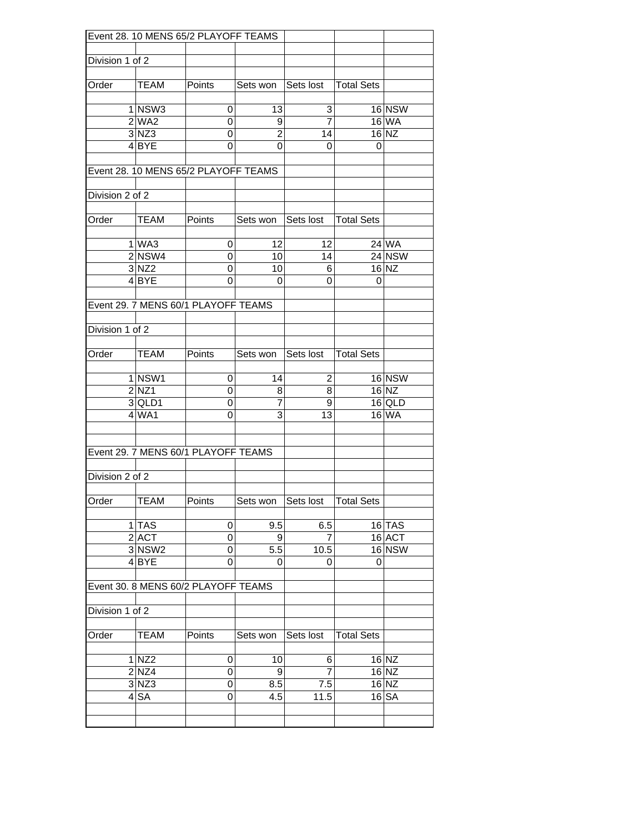|                 |                    | Event 28. 10 MENS 65/2 PLAYOFF TEAMS |                        |                |                   |                    |
|-----------------|--------------------|--------------------------------------|------------------------|----------------|-------------------|--------------------|
|                 |                    |                                      |                        |                |                   |                    |
| Division 1 of 2 |                    |                                      |                        |                |                   |                    |
| Order           | <b>TEAM</b>        | Points                               | Sets won Sets lost     |                | <b>Total Sets</b> |                    |
|                 |                    |                                      |                        |                |                   |                    |
|                 | $1$ NSW3           | 0                                    | 13                     | 3              |                   | <b>16 NSW</b>      |
|                 | $2$ WA2            | 0                                    | 9                      | $\overline{7}$ |                   | <b>16 WA</b>       |
|                 | $3 $ NZ3           | 0                                    | $\overline{2}$         | 14             |                   | $16$ NZ            |
|                 | $4$ BYE            | 0                                    | 0                      | 0              | 0                 |                    |
|                 |                    |                                      |                        |                |                   |                    |
|                 |                    | Event 28. 10 MENS 65/2 PLAYOFF TEAMS |                        |                |                   |                    |
| Division 2 of 2 |                    |                                      |                        |                |                   |                    |
|                 |                    |                                      |                        |                |                   |                    |
| Order           | <b>TEAM</b>        | Points                               | Sets won Sets lost     |                | <b>Total Sets</b> |                    |
|                 |                    |                                      |                        |                |                   |                    |
|                 | $1$ WA3            | 0                                    | 12                     | 12             |                   | 24 WA              |
|                 | 2 NSW4             | $\mathbf 0$                          | 10                     | 14             |                   | 24 NSW             |
|                 | $3$ NZ2            | $\pmb{0}$                            | 10                     | 6              |                   | 16 NZ              |
|                 | 4 BYE              | $\Omega$                             | 0                      | 0              | 0                 |                    |
|                 |                    |                                      |                        |                |                   |                    |
|                 |                    | Event 29. 7 MENS 60/1 PLAYOFF TEAMS  |                        |                |                   |                    |
|                 |                    |                                      |                        |                |                   |                    |
| Division 1 of 2 |                    |                                      |                        |                |                   |                    |
| Order           | <b>TEAM</b>        | Points                               | Sets won Sets lost     |                | <b>Total Sets</b> |                    |
|                 |                    |                                      |                        |                |                   |                    |
|                 | 1 NSW1             | 0                                    | 14                     | 2              |                   | <b>16 NSW</b>      |
|                 | $2$ NZ1            | 0                                    | 8                      | 8              |                   | $16$ NZ            |
|                 | 3 QLD1             | 0                                    | 7                      | 9              |                   | $16$ QLD           |
|                 | $4$ WA1            | 0                                    | 3                      | 13             |                   | $16$ WA            |
|                 |                    |                                      |                        |                |                   |                    |
|                 |                    |                                      |                        |                |                   |                    |
|                 |                    | Event 29. 7 MENS 60/1 PLAYOFF TEAMS  |                        |                |                   |                    |
|                 |                    |                                      |                        |                |                   |                    |
| Division 2 of 2 |                    |                                      |                        |                |                   |                    |
| Order           | <b>TEAM</b>        | Points                               | Sets won               | Sets lost      | <b>Total Sets</b> |                    |
|                 |                    |                                      |                        |                |                   |                    |
|                 | 1 TAS              | 0                                    | 9.5                    | 6.5            |                   | $16$ TAS           |
|                 | $2$ $ACT$          | 0                                    | 9                      | 7              |                   | 16 ACT             |
|                 | 3 NSW <sub>2</sub> | 0                                    | 5.5                    | 10.5           |                   | 16 NSW             |
|                 | $4$ BYE            | $\mathbf 0$                          | 0                      | 0              | 0                 |                    |
|                 |                    |                                      |                        |                |                   |                    |
|                 |                    | Event 30. 8 MENS 60/2 PLAYOFF TEAMS  |                        |                |                   |                    |
|                 |                    |                                      |                        |                |                   |                    |
| Division 1 of 2 |                    |                                      |                        |                |                   |                    |
| Order           | TEAM               | Points                               | Sets won               | Sets lost      | <b>Total Sets</b> |                    |
|                 |                    |                                      |                        |                |                   |                    |
|                 | 1 NZ2<br>$2$ NZ4   | 0<br>$\mathbf 0$                     | 10<br>$\boldsymbol{9}$ | 6<br>7         |                   | $16$ NZ<br>$16$ NZ |
|                 | $3$ NZ3            | $\mathbf 0$                          | 8.5                    | 7.5            |                   | $16$ NZ            |
|                 | $4$ $SA$           | 0                                    | 4.5                    | 11.5           |                   | $16$ $SA$          |
|                 |                    |                                      |                        |                |                   |                    |
|                 |                    |                                      |                        |                |                   |                    |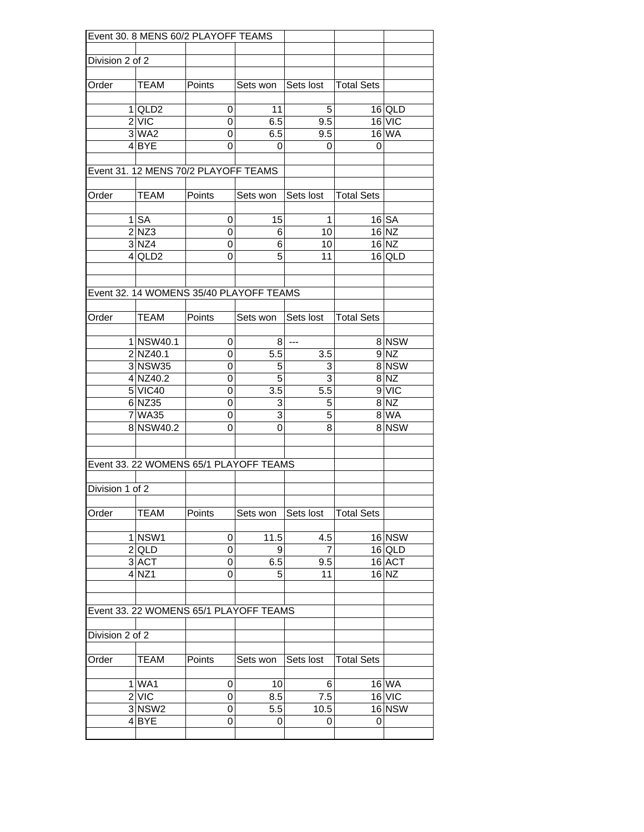|                 |                    | Event 30. 8 MENS 60/2 PLAYOFF TEAMS     |                    |                          |                   |          |
|-----------------|--------------------|-----------------------------------------|--------------------|--------------------------|-------------------|----------|
|                 |                    |                                         |                    |                          |                   |          |
| Division 2 of 2 |                    |                                         |                    |                          |                   |          |
|                 |                    |                                         |                    |                          |                   |          |
| Order           | TEAM               | Points                                  | Sets won Sets lost |                          | <b>Total Sets</b> |          |
|                 |                    |                                         |                    |                          |                   |          |
|                 | 1 QLD2             | 0                                       | 11                 | 5                        |                   | $16$ QLD |
|                 | 2 VIC              | 0                                       | 6.5                | 9.5                      |                   | 16 VIC   |
|                 | 3 WA2              | 0                                       | 6.5                | 9.5                      |                   | 16 WA    |
|                 | $4$ BYE            | 0                                       | 0                  | 0                        | 0                 |          |
|                 |                    |                                         |                    |                          |                   |          |
|                 |                    | Event 31. 12 MENS 70/2 PLAYOFF TEAMS    |                    |                          |                   |          |
|                 |                    |                                         |                    |                          |                   |          |
| Order           | TEAM               | Points                                  | Sets won           | Sets lost                | <b>Total Sets</b> |          |
|                 |                    |                                         |                    |                          |                   |          |
|                 | $1$ $SA$           | 0                                       | 15                 | 1                        |                   | 16 SA    |
|                 | $2$ NZ3            | 0                                       | 6                  | 10                       |                   | 16 NZ    |
|                 | $3$ NZ4            | 0                                       | 6                  | 10                       |                   | $16$ NZ  |
|                 | $4$ QLD2           | 0                                       | 5                  | 11                       |                   | $16$ QLD |
|                 |                    |                                         |                    |                          |                   |          |
|                 |                    |                                         |                    |                          |                   |          |
|                 |                    | Event 32, 14 WOMENS 35/40 PLAYOFF TEAMS |                    |                          |                   |          |
|                 |                    |                                         |                    |                          |                   |          |
| Order           | TEAM               | Points                                  | Sets won           | Sets lost                | <b>Total Sets</b> |          |
|                 |                    |                                         |                    |                          |                   |          |
|                 | 1 NSW40.1          | 0                                       | 8                  | $\overline{\phantom{a}}$ |                   | 8 NSW    |
|                 | 2 NZ40.1           | 0                                       | 5.5                | 3.5                      |                   | $9$ NZ   |
|                 | 3 NSW35            | 0                                       | 5                  | 3                        |                   | 8 NSW    |
|                 | 4 NZ40.2           | 0                                       | 5                  | 3                        |                   | $8$ NZ   |
|                 | 5 VIC40            | 0                                       | 3.5                | 5.5                      |                   | 9 VIC    |
|                 | 6 NZ35             | 0                                       | 3                  | 5                        |                   | $8$ NZ   |
|                 | 7 WA35             | 0                                       | 3                  | 5                        |                   | 8 WA     |
|                 | 8 NSW40.2          | 0                                       | 0                  | 8                        |                   | 8 NSW    |
|                 |                    |                                         |                    |                          |                   |          |
|                 |                    |                                         |                    |                          |                   |          |
|                 |                    | Event 33. 22 WOMENS 65/1 PLAYOFF TEAMS  |                    |                          |                   |          |
|                 |                    |                                         |                    |                          |                   |          |
| Division 1 of 2 |                    |                                         |                    |                          |                   |          |
|                 |                    |                                         |                    |                          |                   |          |
| Order           | TEAM               | Points                                  | Sets won           | Sets lost                | <b>Total Sets</b> |          |
|                 |                    |                                         |                    |                          |                   |          |
|                 | 1 NSW1             | 0                                       | 11.5               | 4.5                      |                   | $16$ NSW |
|                 | $2$ QLD            | 0                                       | 9                  | 7                        |                   | $16$ QLD |
|                 | 3 ACT              | 0                                       | 6.5                | 9.5                      |                   | 16 ACT   |
|                 | $4$ NZ1            | 0                                       | 5                  | 11                       |                   | $16$ NZ  |
|                 |                    |                                         |                    |                          |                   |          |
|                 |                    |                                         |                    |                          |                   |          |
|                 |                    | Event 33. 22 WOMENS 65/1 PLAYOFF TEAMS  |                    |                          |                   |          |
|                 |                    |                                         |                    |                          |                   |          |
| Division 2 of 2 |                    |                                         |                    |                          |                   |          |
|                 |                    |                                         |                    |                          |                   |          |
| Order           | TEAM               | Points                                  | Sets won           | Sets lost                | <b>Total Sets</b> |          |
|                 |                    |                                         |                    |                          |                   |          |
|                 | 1 WA1              | 0                                       | 10                 | 6                        |                   | 16 WA    |
|                 | $2$ VIC            | 0                                       | 8.5                | 7.5                      |                   | 16 VIC   |
|                 | 3 NSW <sub>2</sub> | 0                                       | 5.5                | 10.5                     |                   | 16 NSW   |
|                 | 4BYE               | 0                                       | 0                  | 0                        | 0                 |          |
|                 |                    |                                         |                    |                          |                   |          |
|                 |                    |                                         |                    |                          |                   |          |